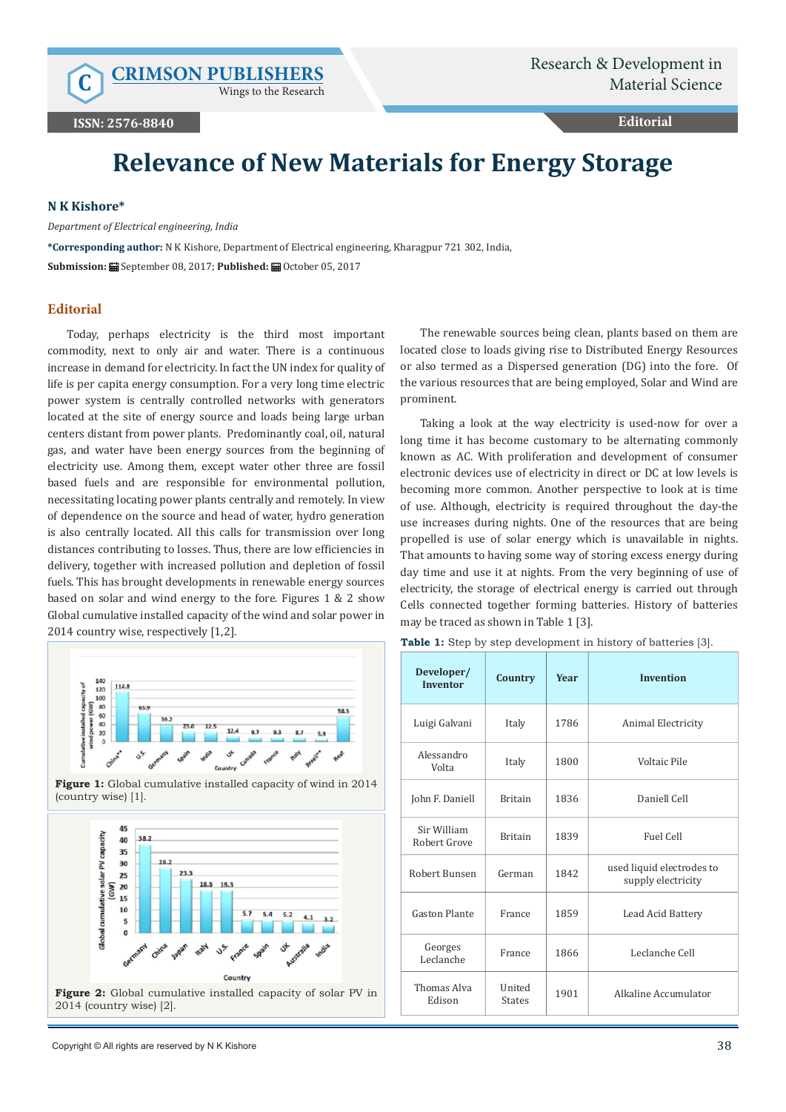Wings to the Research

**Editorial**

# **Relevance of New Materials for Energy Storage**

#### **N K Kishore\***

*Department of Electrical engineering, India*

**\*Corresponding author:** N K Kishore, Department of Electrical engineering, Kharagpur 721 302, India, **Submission:** September 08, 2017; **Published:** October 05, 2017

## **Editorial**

Today, perhaps electricity is the third most important commodity, next to only air and water. There is a continuous increase in demand for electricity. In fact the UN index for quality of life is per capita energy consumption. For a very long time electric power system is centrally controlled networks with generators located at the site of energy source and loads being large urban centers distant from power plants. Predominantly coal, oil, natural gas, and water have been energy sources from the beginning of electricity use. Among them, except water other three are fossil based fuels and are responsible for environmental pollution, necessitating locating power plants centrally and remotely. In view of dependence on the source and head of water, hydro generation is also centrally located. All this calls for transmission over long distances contributing to losses. Thus, there are low efficiencies in delivery, together with increased pollution and depletion of fossil fuels. This has brought developments in renewable energy sources based on solar and wind energy to the fore. Figures 1 & 2 show Global cumulative installed capacity of the wind and solar power in 2014 country wise, respectively [1,2].







The renewable sources being clean, plants based on them are located close to loads giving rise to Distributed Energy Resources or also termed as a Dispersed generation (DG) into the fore. Of the various resources that are being employed, Solar and Wind are prominent.

Taking a look at the way electricity is used-now for over a long time it has become customary to be alternating commonly known as AC. With proliferation and development of consumer electronic devices use of electricity in direct or DC at low levels is becoming more common. Another perspective to look at is time of use. Although, electricity is required throughout the day-the use increases during nights. One of the resources that are being propelled is use of solar energy which is unavailable in nights. That amounts to having some way of storing excess energy during day time and use it at nights. From the very beginning of use of electricity, the storage of electrical energy is carried out through Cells connected together forming batteries. History of batteries may be traced as shown in Table 1 [3].

| Developer/<br><b>Inventor</b> | Country                 | <b>Year</b> | <b>Invention</b>                                |  |
|-------------------------------|-------------------------|-------------|-------------------------------------------------|--|
| Luigi Galvani                 | Italy                   | 1786        | Animal Electricity                              |  |
| Alessandro<br>Volta           | Italy                   | 1800        | Voltaic Pile                                    |  |
| John F. Daniell               | <b>Britain</b>          | 1836        | Daniell Cell                                    |  |
| Sir William<br>Robert Grove   | <b>Britain</b>          | 1839        | Fuel Cell                                       |  |
| Robert Bunsen                 | German                  | 1842        | used liquid electrodes to<br>supply electricity |  |
| <b>Gaston Plante</b>          | France                  | 1859        | Lead Acid Battery                               |  |
| Georges<br>Leclanche          | France                  | 1866        | Leclanche Cell                                  |  |
| Thomas Alva<br>Edison         | United<br><b>States</b> | 1901        | Alkaline Accumulator                            |  |

Table 1: Step by step development in history of batteries [3].